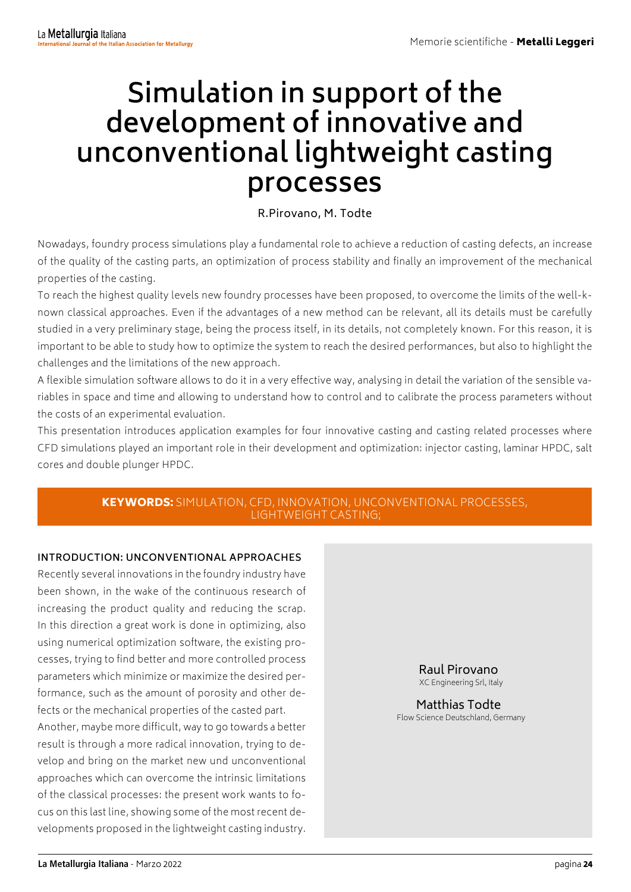# **Simulation in support of the development of innovative and unconventional lightweight casting processes**

## R.Pirovano, M. Todte

Nowadays, foundry process simulations play a fundamental role to achieve a reduction of casting defects, an increase of the quality of the casting parts, an optimization of process stability and finally an improvement of the mechanical properties of the casting.

To reach the highest quality levels new foundry processes have been proposed, to overcome the limits of the well-known classical approaches. Even if the advantages of a new method can be relevant, all its details must be carefully studied in a very preliminary stage, being the process itself, in its details, not completely known. For this reason, it is important to be able to study how to optimize the system to reach the desired performances, but also to highlight the challenges and the limitations of the new approach.

A flexible simulation software allows to do it in a very effective way, analysing in detail the variation of the sensible variables in space and time and allowing to understand how to control and to calibrate the process parameters without the costs of an experimental evaluation.

This presentation introduces application examples for four innovative casting and casting related processes where CFD simulations played an important role in their development and optimization: injector casting, laminar HPDC, salt cores and double plunger HPDC.

### KEYWORDS: SIMULATION, CFD, INNOVATION, UNCONVENTIONAL PROCESSES, LIGHTWEIGHT CASTING;

#### **INTRODUCTION: UNCONVENTIONAL APPROACHES**

Recently several innovations in the foundry industry have been shown, in the wake of the continuous research of increasing the product quality and reducing the scrap. In this direction a great work is done in optimizing, also using numerical optimization software, the existing processes, trying to find better and more controlled process parameters which minimize or maximize the desired performance, such as the amount of porosity and other defects or the mechanical properties of the casted part. Another, maybe more difficult, way to go towards a better result is through a more radical innovation, trying to develop and bring on the market new und unconventional approaches which can overcome the intrinsic limitations of the classical processes: the present work wants to focus on this last line, showing some of the most recent developments proposed in the lightweight casting industry.

Raul Pirovano

XC Engineering Srl, Italy

Matthias Todte Flow Science Deutschland, Germany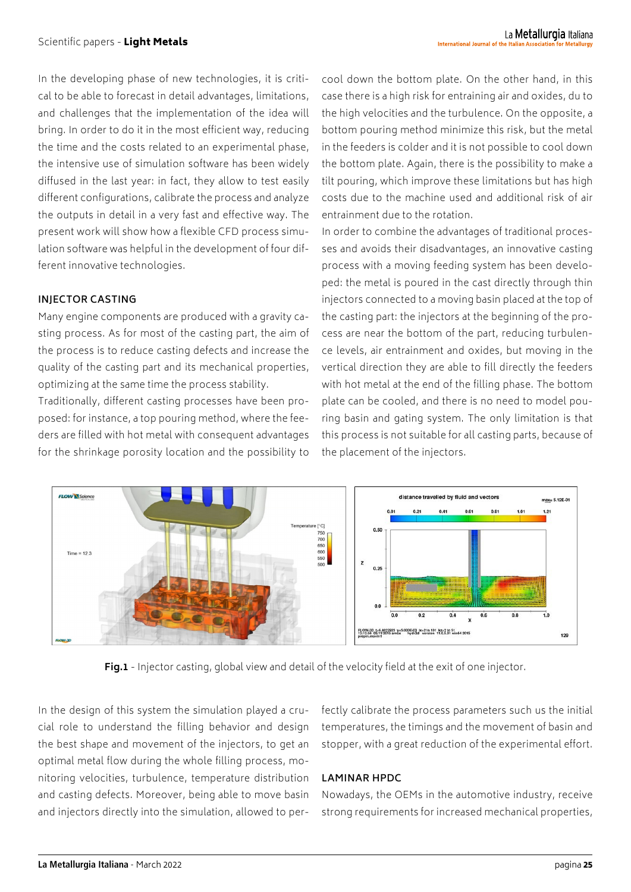In the developing phase of new technologies, it is critical to be able to forecast in detail advantages, limitations, and challenges that the implementation of the idea will bring. In order to do it in the most efficient way, reducing the time and the costs related to an experimental phase, the intensive use of simulation software has been widely diffused in the last year: in fact, they allow to test easily different configurations, calibrate the process and analyze the outputs in detail in a very fast and effective way. The present work will show how a flexible CFD process simulation software was helpful in the development of four different innovative technologies.

#### **INJECTOR CASTING**

Many engine components are produced with a gravity casting process. As for most of the casting part, the aim of the process is to reduce casting defects and increase the quality of the casting part and its mechanical properties, optimizing at the same time the process stability.

Traditionally, different casting processes have been proposed: for instance, a top pouring method, where the feeders are filled with hot metal with consequent advantages for the shrinkage porosity location and the possibility to

cool down the bottom plate. On the other hand, in this case there is a high risk for entraining air and oxides, du to the high velocities and the turbulence. On the opposite, a bottom pouring method minimize this risk, but the metal in the feeders is colder and it is not possible to cool down the bottom plate. Again, there is the possibility to make a tilt pouring, which improve these limitations but has high costs due to the machine used and additional risk of air entrainment due to the rotation.

In order to combine the advantages of traditional processes and avoids their disadvantages, an innovative casting process with a moving feeding system has been developed: the metal is poured in the cast directly through thin injectors connected to a moving basin placed at the top of the casting part: the injectors at the beginning of the process are near the bottom of the part, reducing turbulence levels, air entrainment and oxides, but moving in the vertical direction they are able to fill directly the feeders with hot metal at the end of the filling phase. The bottom plate can be cooled, and there is no need to model pouring basin and gating system. The only limitation is that this process is not suitable for all casting parts, because of the placement of the injectors.



**Fig.1** - Injector casting, global view and detail of the velocity field at the exit of one injector.

In the design of this system the simulation played a crucial role to understand the filling behavior and design the best shape and movement of the injectors, to get an optimal metal flow during the whole filling process, monitoring velocities, turbulence, temperature distribution and casting defects. Moreover, being able to move basin and injectors directly into the simulation, allowed to perfectly calibrate the process parameters such us the initial temperatures, the timings and the movement of basin and stopper, with a great reduction of the experimental effort.

#### **LAMINAR HPDC**

Nowadays, the OEMs in the automotive industry, receive strong requirements for increased mechanical properties,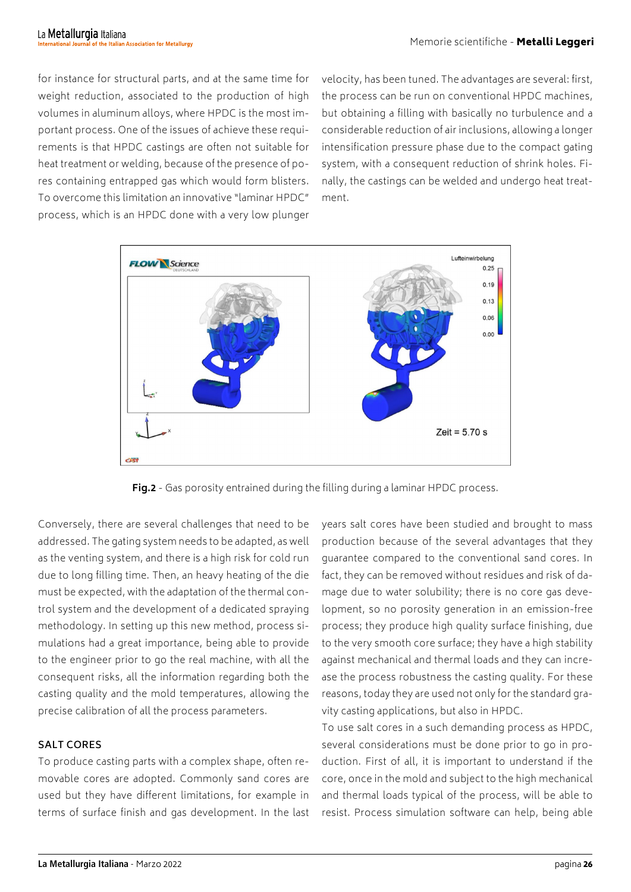for instance for structural parts, and at the same time for weight reduction, associated to the production of high volumes in aluminum alloys, where HPDC is the most important process. One of the issues of achieve these requirements is that HPDC castings are often not suitable for heat treatment or welding, because of the presence of pores containing entrapped gas which would form blisters. To overcome this limitation an innovative "laminar HPDC" process, which is an HPDC done with a very low plunger

velocity, has been tuned. The advantages are several: first, the process can be run on conventional HPDC machines, but obtaining a filling with basically no turbulence and a considerable reduction of air inclusions, allowing a longer intensification pressure phase due to the compact gating system, with a consequent reduction of shrink holes. Finally, the castings can be welded and undergo heat treatment.



**Fig.2** - Gas porosity entrained during the filling during a laminar HPDC process.

Conversely, there are several challenges that need to be addressed. The gating system needs to be adapted, as well as the venting system, and there is a high risk for cold run due to long filling time. Then, an heavy heating of the die must be expected, with the adaptation of the thermal control system and the development of a dedicated spraying methodology. In setting up this new method, process simulations had a great importance, being able to provide to the engineer prior to go the real machine, with all the consequent risks, all the information regarding both the casting quality and the mold temperatures, allowing the precise calibration of all the process parameters.

#### **SALT CORES**

To produce casting parts with a complex shape, often removable cores are adopted. Commonly sand cores are used but they have different limitations, for example in terms of surface finish and gas development. In the last years salt cores have been studied and brought to mass production because of the several advantages that they guarantee compared to the conventional sand cores. In fact, they can be removed without residues and risk of damage due to water solubility; there is no core gas development, so no porosity generation in an emission-free process; they produce high quality surface finishing, due to the very smooth core surface; they have a high stability against mechanical and thermal loads and they can increase the process robustness the casting quality. For these reasons, today they are used not only for the standard gravity casting applications, but also in HPDC.

To use salt cores in a such demanding process as HPDC, several considerations must be done prior to go in production. First of all, it is important to understand if the core, once in the mold and subject to the high mechanical and thermal loads typical of the process, will be able to resist. Process simulation software can help, being able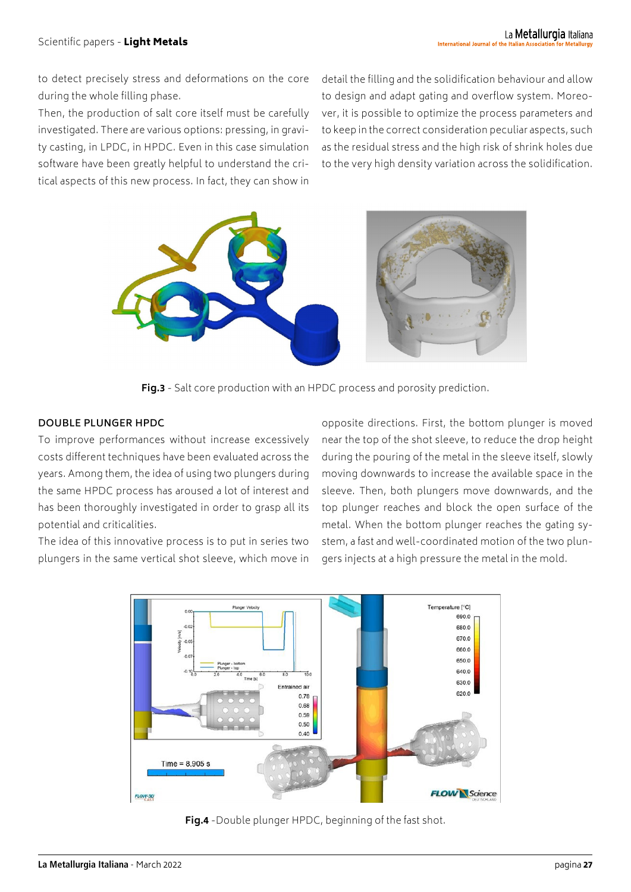to detect precisely stress and deformations on the core during the whole filling phase.

Then, the production of salt core itself must be carefully investigated. There are various options: pressing, in gravity casting, in LPDC, in HPDC. Even in this case simulation software have been greatly helpful to understand the critical aspects of this new process. In fact, they can show in

detail the filling and the solidification behaviour and allow to design and adapt gating and overflow system. Moreover, it is possible to optimize the process parameters and to keep in the correct consideration peculiar aspects, such as the residual stress and the high risk of shrink holes due to the very high density variation across the solidification.



**Fig.3** - Salt core production with an HPDC process and porosity prediction.

#### **DOUBLE PLUNGER HPDC**

To improve performances without increase excessively costs different techniques have been evaluated across the years. Among them, the idea of using two plungers during the same HPDC process has aroused a lot of interest and has been thoroughly investigated in order to grasp all its potential and criticalities.

The idea of this innovative process is to put in series two plungers in the same vertical shot sleeve, which move in opposite directions. First, the bottom plunger is moved near the top of the shot sleeve, to reduce the drop height during the pouring of the metal in the sleeve itself, slowly moving downwards to increase the available space in the sleeve. Then, both plungers move downwards, and the top plunger reaches and block the open surface of the metal. When the bottom plunger reaches the gating system, a fast and well-coordinated motion of the two plungers injects at a high pressure the metal in the mold.



**Fig.4** -Double plunger HPDC, beginning of the fast shot.